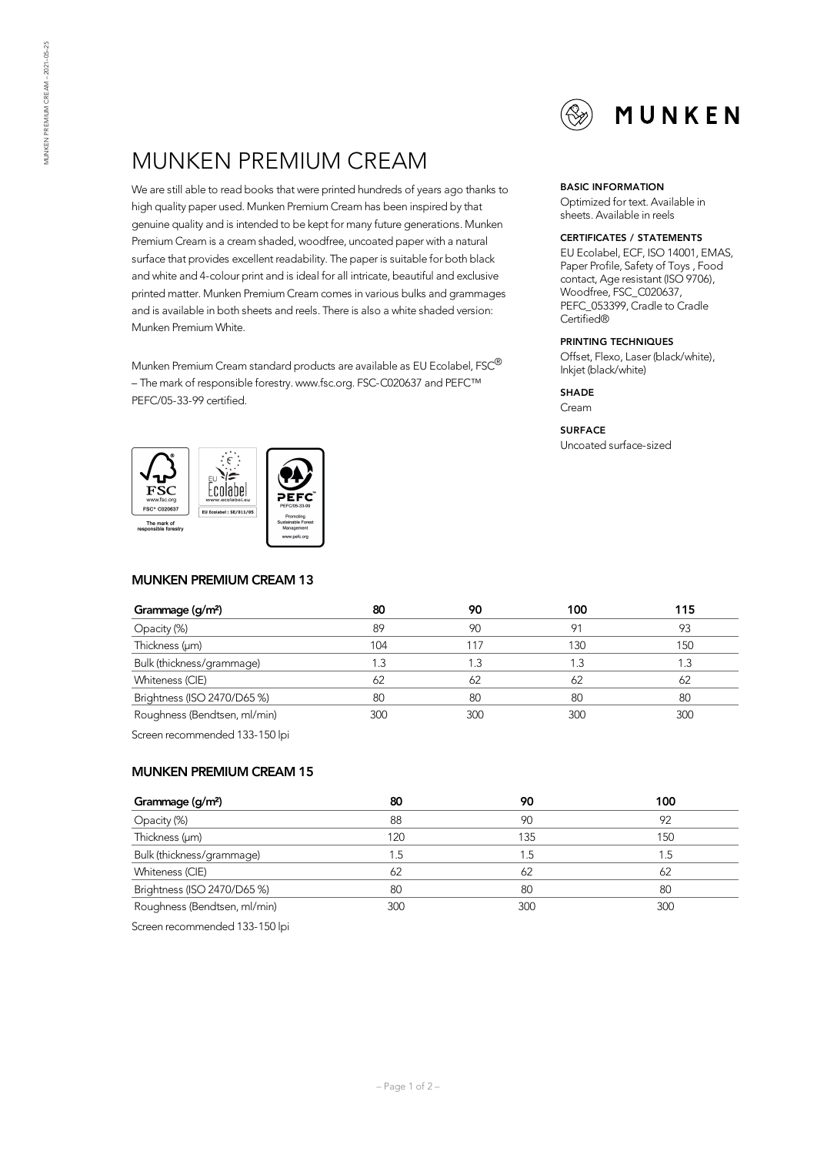# MUNKEN PREMIUM CREAM

We are still able to read books that were printed hundreds of years ago thanks to high quality paper used. Munken Premium Cream has been inspired by that genuine quality and is intended to be kept for manyfuture generations. Munken Premium Cream is a cream shaded, woodfree, uncoated paper with a natural surface that provides excellent readability. The paper is suitable for both black and white and 4-colour print and is ideal for all intricate, beautiful and exclusive printed matter. Munken Premium Cream comes in various bulks and grammages and is available in both sheets and reels. There is also a white shaded version: Munken Premium White.

Munken Premium Cream standard products are available as EU Ecolabel, FSC $^\circledR$ – The mark of responsible forestry. www.fsc.org. FSC-C020637 and PEFC™ PEFC/05-33-99 certified.



## **MUNKEN PREMIUM CREAM 13**

#### **BASIC INFORMATION**

Optimized for text. Available in sheets. Available in reels

#### **CERTIFICATES / STATEMENTS**

EU Ecolabel, ECF, ISO 14001, EMAS, Paper Profile, Safety of Toys , Food contact, Age resistant (ISO 9706), Woodfree, FSC\_C020637, PEFC\_053399, Cradle to Cradle Certified®

### **PRINTING TECHNIQUES**

Offset, Flexo, Laser (black/white), Inkjet (black/white)

**SHADE**

Cream

#### **SURFACE**

Uncoated surface-sized

| Grammage (g/m <sup>2</sup> ) | 80  | 90  | 100            | 115 |
|------------------------------|-----|-----|----------------|-----|
| Opacity (%)                  | 89  | 90  | Q <sub>1</sub> | 93  |
| Thickness (µm)               | 104 | -17 | 130            | 150 |
| Bulk (thickness/grammage)    | 1.3 | .3  |                | . 3 |
| Whiteness (CIE)              | 62  | 62  | 62             | 62  |
| Brightness (ISO 2470/D65 %)  | 80  | 80  | 80             | 80  |
| Roughness (Bendtsen, ml/min) | 300 | 300 | 300            | 300 |
|                              |     |     |                |     |

Screen recommended 133-150 lpi

#### **MUNKEN PREMIUM CREAM 15**

| Grammage (g/m <sup>2</sup> ) | 80              | 90  | 100 |
|------------------------------|-----------------|-----|-----|
| Opacity (%)                  | 88              | 90  | 92  |
| Thickness (µm)               | 120             | 135 | 150 |
| Bulk (thickness/grammage)    | $\overline{.5}$ | 1.5 | 1.5 |
| Whiteness (CIE)              | 62              | 62  | 62  |
| Brightness (ISO 2470/D65 %)  | 80              | 80  | 80  |
| Roughness (Bendtsen, ml/min) | 300             | 300 | 300 |

Screen recommended 133-150 lpi